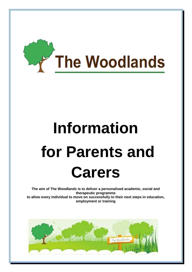

# **Information for Parents and Carers**

**The aim of The Woodlands is to deliver a personalised academic, social and therapeutic programme to allow every individual to move on successfully to their next steps in education, employment or training**

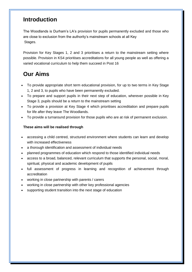## **Introduction**

The Woodlands is Durham's LA's provision for pupils permanently excluded and those who are close to exclusion from the authority's mainstream schools at all Key Stages.

Provision for Key Stages 1, 2 and 3 prioritises a return to the mainstream setting where possible. Provision in KS4 prioritises accreditations for all young people as well as offering a varied vocational curriculum to help them succeed in Post 16

## **Our Aims**

- To provide appropriate short term educational provision, for up to two terms in Key Stage 1, 2 and 3, to pupils who have been permanently excluded.
- To prepare and support pupils in their next step of education, wherever possible in Key Stage 3, pupils should be a return to the mainstream setting
- To provide a provision at Key Stage 4 which prioritises accreditation and prepare pupils for life after they leave The Woodlands.
- To provide a turnaround provision for those pupils who are at risk of permanent exclusion.

#### **These aims will be realised through**

- accessing a child centred, structured environment where students can learn and develop with increased effectiveness
- a thorough identification and assessment of individual needs
- planned programmes of education which respond to those identified individual needs
- access to a broad, balanced, relevant curriculum that supports the personal, social, moral, spiritual, physical and academic development of pupils
- full assessment of progress in learning and recognition of achievement through accreditation
- working in close partnership with parents / carers
- working in close partnership with other key professional agencies
- supporting student transition into the next stage of education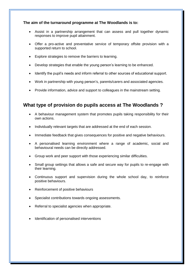#### **The aim of the turnaround programme at The Woodlands is to:**

- Assist in a partnership arrangement that can assess and pull together dynamic responses to improve pupil attainment.
- Offer a pro-active and preventative service of temporary offsite provision with a supported return to school.
- Explore strategies to remove the barriers to learning.
- Develop strategies that enable the young person's learning to be enhanced.
- Identify the pupil's needs and inform referral to other sources of educational support.
- Work in partnership with young person's, parents/carers and associated agencies.
- Provide information, advice and support to colleagues in the mainstream setting.

## **What type of provision do pupils access at The Woodlands ?**

- A behaviour management system that promotes pupils taking responsibility for their own actions.
- Individually relevant targets that are addressed at the end of each session.
- Immediate feedback that gives consequences for positive and negative behaviours.
- A personalised learning environment where a range of academic, social and behavioural needs can be directly addressed.
- Group work and peer support with those experiencing similar difficulties.
- Small group settings that allows a safe and secure way for pupils to re-engage with their learning.
- Continuous support and supervision during the whole school day, to reinforce positive behaviours.
- Reinforcement of positive behaviours
- Specialist contributions towards ongoing assessments.
- Referral to specialist agencies when appropriate.
- Identification of personalised interventions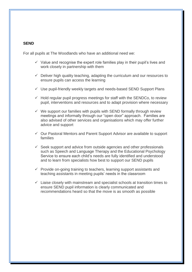#### **SEND**

For all pupils at The Woodlands who have an additional need we:

- $\checkmark$  Value and recognise the expert role families play in their pupil's lives and work closely in partnership with them
- $\checkmark$  Deliver high quality teaching, adapting the curriculum and our resources to ensure pupils can access the learning
- $\checkmark$  Use pupil-friendly weekly targets and needs-based SEND Support Plans
- $\checkmark$  Hold regular pupil progress meetings for staff with the SENDCo, to review pupil, interventions and resources and to adapt provision where necessary
- $\checkmark$  We support our families with pupils with SEND formally through review meetings and informally through our "open door" approach. Families are also advised of other services and organisations which may offer further advice and support
- $\checkmark$  Our Pastoral Mentors and Parent Support Advisor are available to support families
- $\checkmark$  Seek support and advice from outside agencies and other professionals such as Speech and Language Therapy and the Educational Psychology Service to ensure each child's needs are fully identified and understood and to learn from specialists how best to support our SEND pupils
- $\checkmark$  Provide on-going training to teachers, learning support assistants and teaching assistants in meeting pupils' needs in the classroom
- $\checkmark$  Liaise closely with mainstream and specialist schools at transition times to ensure SEND pupil information is clearly communicated and recommendations heard so that the move is as smooth as possible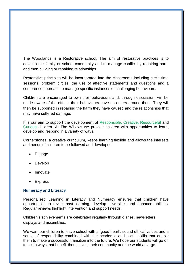The Woodlands is a Restorative school. The aim of restorative practices is to develop the family or school community and to manage conflict by repairing harm and then building or repairing relationships.

Restorative principles will be incorporated into the classrooms including circle time sessions, problem circles, the use of affective statements and questions and a conference approach to manage specific instances of challenging behaviours.

Children are encouraged to own their behaviours and, through discussion, will be made aware of the effects their behaviours have on others around them. They will then be supported in repairing the harm they have caused and the relationships that may have suffered damage.

It is our aim to support the development of Responsible, Creative, Resourceful and Curious children. At The Willows we provide children with opportunities to learn, develop and respond in a variety of ways.

Cornerstones, a creative curriculum, keeps learning flexible and allows the interests and needs of children to be followed and developed.

- Engage
- Develop
- Innovate
- Express

#### **Numeracy and Literacy**

Personalised Learning in Literacy and Numeracy ensures that children have opportunities to revisit past learning, develop new skills and enhance abilities. Regular reviews highlight intervention and support needs.

Children's achievements are celebrated regularly through diaries, newsletters, displays and assemblies.

We want our children to leave school with a 'good heart', sound ethical values and a sense of responsibility combined with the academic and social skills that enable them to make a successful transition into the future. We hope our students will go on to act in ways that benefit themselves, their community and the world at large.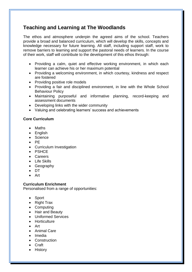## **Teaching and Learning at The Woodlands**

The ethos and atmosphere underpin the agreed aims of the school. Teachers provide a broad and balanced curriculum, which will develop the skills, concepts and knowledge necessary for future learning. All staff, including support staff, work to remove barriers to learning and support the pastoral needs of learners. In the course of their work, staff will contribute to the development of this ethos through:

- Providing a calm, quiet and effective working environment, in which each learner can achieve his or her maximum potential
- Providing a welcoming environment, in which courtesy, kindness and respect are fostered
- Providing positive role models
- Providing a fair and disciplined environment, in line with the Whole School Behaviour Policy
- Maintaining purposeful and informative planning, record-keeping and assessment documents
- Developing links with the wider community
- Valuing and celebrating learners' success and achievements

#### **Core Curriculum**

- Maths
- English
- Science
- $\bullet$  PE
- Curriculum Investigation
- PSHCF
- Careers
- Life Skills
- Geography
- $\bullet$  DT
- Art

#### **Curriculum Enrichment**

Personalised from a range of opportunities:

- Sport
- Right Trax
- Computing
- Hair and Beauty
- Uniformed Services
- **•** Horticulture
- Art
- Animal Care
- Imedia
- Construction
- Craft
- History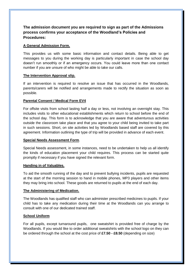**The admission document you are required to sign as part of the Admissions process confirms your acceptance of the Woodland's Policies and Procedures:**

#### **A General Admission Form.**

This provides us with some basic information and contact details. Being able to get messages to you during the working day is particularly important in case the school day doesn't run smoothly or if an emergency occurs. You could leave more than one contact number if you are unsure of who might be able to take our calls.

#### **The Intervention Approval slip.**

If an intervention is required to resolve an issue that has occurred in the Woodlands, parents/carers will be notified and arrangements made to rectify the situation as soon as possible.

#### **Parental Consent / Medical Form EV4**

For offsite visits from school lasting half a day or less, not involving an overnight stay. This includes visits to other educational establishments which return to school before the end of the school day. This form is to acknowledge that you are aware that adventurous activities outside the classroom take place and that you agree to your child being invited to take part in such sessions. Short, on site activities led by Woodlands based staff are covered by this agreement. Information outlining the type of trip will be provided in advance of each event.

#### **Special Needs Assessment Form**.

Special Needs assessment, in some instances, need to be undertaken to help us all identify the kinds of education placement your child requires. This process can be started quite promptly if necessary if you have signed the relevant form.

#### **Handing in of Valuables.**

To aid the smooth running of the day and to prevent bullying incidents, pupils are requested at the start of the morning session to hand in mobile phones, MP3 players and other items they may bring into school. These goods are returned to pupils at the end of each day.

#### **The Administering of Medication.**

The Woodlands has qualified staff who can administer prescribed medicines to pupils. If your child has to take any medication during their time at the Woodlands can you arrange to consult with one of our dedicated trained staff.

#### **School Uniform**

For all pupils, except turnaround pupils, one sweatshirt is provided free of charge by the Woodlands. If you would like to order additional sweatshirts with the school logo on they can be ordered through the school at the cost price of **£7.50 - £8.50** (depending on size)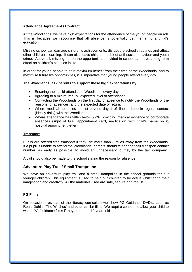#### **Attendance Agreement / Contract**

At the Woodlands, we have high expectations for the attendance of the young people on roll. This is because we recognise that all absence is potentially detrimental to a child's education.

Missing school can damage children's achievements, disrupt the school's routines and affect other children's learning. It can also leave children at risk of anti-social behaviour and youth crime. Above all, missing out on the opportunities provided in school can have a long-term effect on children's chances in life.

In order for young people to gain maximum benefit from their time at the Woodlands, and to maximise future life opportunities, it is imperative that young people attend every day.

#### **The Woodlands ask parents to support these high expectations by:**

- Ensuring their child attends the Woodlands every day.
- Agreeing to a minimum 92% expected level of attendance.
- Contacting the Woodlands on the first day of absence to notify the Woodlands of the reasons for absences, and the expected date of return.
- Where medical absences persist beyond day 1 of illness, keep in regular contact (ideally daily) with the Woodlands.
- Where attendance has fallen below 92%, providing medical evidence to corroborate absences (sight of G.P. appointment card, medication with child's name on it, hospital appointment letter)

#### **Transport**

Pupils are offered free transport if they live more than 3 miles away from the Woodlands. If a pupil is unable to attend the Woodlands, parents should telephone their transport contact number, as early as possible, to avoid an unnecessary journey by the taxi company.

A call should also be made to the school stating the reason for absence

#### **Adventure Play Trail / Small Trampoline**

We have an adventure play trail and a small trampoline in the school grounds for our younger children. This equipment is used to help our children to be active whilst firing their imagination and creativity. All the materials used are safe, secure and robust.

#### **PG Films**

On occasions, as part of the literacy curriculum we show PG Guidance DVD's, such as Roald Dahl's, 'The Witches' and other similar films. We require consent to allow your child to watch PG Guidance films if they are under 12 years old.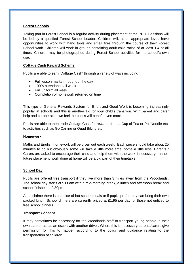#### **Forest Schools**

Taking part in Forest School is a regular activity during placement at the PRU. Sessions will be led by a qualified Forest School Leader. Children will, at an appropriate level, have opportunities to work with hand tools and small fires through the course of their Forest School work. Children will work in groups containing adult-child ratios of at least 1:4 at all times. Children may be photographed during Forest School activities for the school's own use.

#### **Cottage Cash Reward Scheme**

Pupils are able to earn 'Cottage Cash' through a variety of ways including:

- Full lesson marks throughout the day
- 100% attendance all week
- Full uniform all week
- Completion of homework returned on time

This type of General Rewards System for Effort and Good Work is becoming increasingly popular in schools and this is another aid for your child's transition. With parent and carer help and co-operation we feel the pupils will benefit even more.

Pupils are able to then trade Cottage Cash for rewards from a Cup of Tea or Pot Noodle etc. to activities such as Go Carting or Quad Biking etc.

#### **Homework**

Maths and English homework will be given out each week. Each piece should take about 25 minutes to do but obviously some will take a little more time, some a little less. Parents / Carers are asked to encourage their child and help them with the work if necessary. In their future placement, work done at home will be a big part of their timetable.

#### **School Day**

Pupils are offered free transport if they live more than 3 miles away from the Woodlands. The school day starts at 9.00am with a mid-morning break, a lunch and afternoon break and school finishes at 2.30pm.

At lunchtime there is a choice of hot school meals or if pupils prefer they can bring their own packed lunch. School dinners are currently priced at £1.95 per day for those not entitled to free school dinners.

#### **Transport Consent**

It may sometimes be necessary for the Woodlands staff to transport young people in their own care or act as an escort with another driver. Where this is necessary parents/carers give permission for this to happen according to the policy and guidance relating to the transportation of children.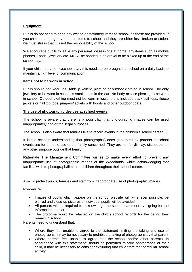#### **Equipment**

Pupils do not need to bring any writing or stationery items to school, as these are provided. If you child does bring any of these items to school and they are either lost, broken or stolen, we must stress that it is not the responsibility of the school.

We encourage pupils to leave any personal possessions at home, any items such as mobile phones, i-pods, jewellery etc. MUST be handed in on arrival to be picked up at the end of the school day.

If your child has a home/school diary this needs to be brought into school on a daily basis to maintain a high level of communication.

#### **Items not to be worn in school**

Pupils should not wear unsuitable jewellery, piercing or outdoor clothing in school. The only jewellery to be worn in school is small studs in the ear. No body or face piercing to be worn in school. Outdoor clothing must not be worn in lessons this includes track suit tops, fleece jackets or half zip tops, jumpers/jackets with hoods and other outdoor coats.

#### **The use of photographic devices at school events**

The school is aware that there is a possibility that photographic images can be used inappropriately and/or for illegal purposes.

The school is also aware that families like to record events in the children's school career.

It is the schools understanding that photographs/videos generated by parents at school events are for the sole use of the family concerned. They are not for display, distribution or any other purpose outside that family.

**Rationale** The Management Committee wishes to make every effort to prevent any inappropriate use of photographic images of the Woodlands, whilst acknowledging that families wish to photograph/film their children throughout their school career.

**Aim** To protect pupils, families and staff from inappropriate use of photographic images.

#### **Procedure**

- Images of pupils which appear on the school website will, whenever possible, be blurred and close-up pictures of individual pupils will be avoided.
- All parents will be required to acknowledge the school statement by signing for the Information Leaflet
- The proforma would be retained on the child's school records for the period they remain in school.

Parents need to understand that:

- Where they feel unable to agree to the statement limiting the taking and use of photographs, it may be necessary to prohibit the taking of photographs by that parent
- Where parents feel unable to agree that the school and/or other parents, in accordance with this statement, should be permitted to take photographs of their child, it may be necessary to consider excluding that child from that particular school activity.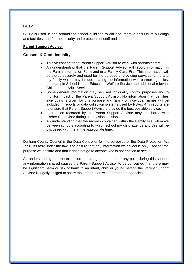#### **CCTV**

CCTV is used in and around the school buildings to aid and improve security of buildings and facilities, and for the security and protection of staff and students.

#### **Parent Support Advisor**

#### **Consent & Confidentiality**

- To give consent for a Parent Support Advisor to work with parents/carers.
- An understanding that the Parent Support Advisor will record information in the Family Information Form and in a Family Case File. This information will be stored securely and used for the purpose of providing services to me and my family which may include sharing the information with partner agencies, for example School Nurse, Education Welfare Service and additional relevant Children and Adult Services.
- Some general information may be used for quality control purposes and to monitor impact of the Parent Support Advisor. No information that identifies individuals is given for this purpose and family or individual names will be included in reports or data collection systems used by PSAs. Any reports are to ensure that Parent Support Advisors provide the best possible service.
- Information recorded by the Parent Support Advisor may be shared with his/her Supervisor during supervision sessions.
- An understanding that the records contained within the Family File will move between schools according to which school my child attends and this will be discussed with me at the appropriate time.

Durham County Council is the Data Controller for the purposes of the Data Protection Act 1998. Its task under the law is to ensure that any information we collect is only used for the purpose we declare and that it does not go to anyone who is not entitled to see it.

An understanding that the exception to this agreement is if at any point during this support any information shared causes the Parent Support Advisor to be concerned that there may be significant harm or risk of harm to an infant, child or young person the Parent Support Advisor is legally obliged to share that information with appropriate agencies.